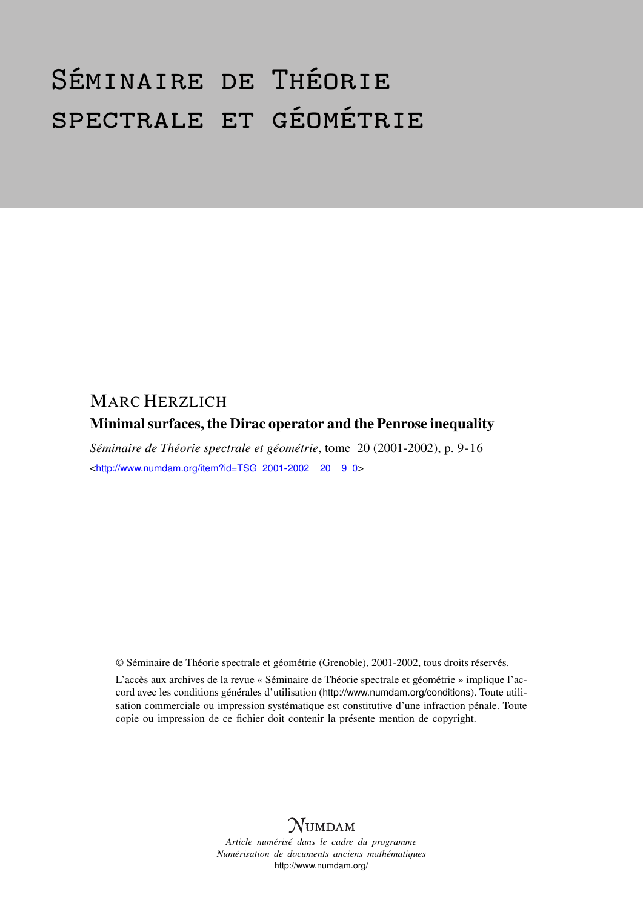# Séminaire de Théorie spectrale et géométrie

## MARC HERZLICH

### Minimal surfaces, the Dirac operator and the Penrose inequality

*Séminaire de Théorie spectrale et géométrie*, tome 20 (2001-2002), p. 9-16 <[http://www.numdam.org/item?id=TSG\\_2001-2002\\_\\_20\\_\\_9\\_0](http://www.numdam.org/item?id=TSG_2001-2002__20__9_0)>

© Séminaire de Théorie spectrale et géométrie (Grenoble), 2001-2002, tous droits réservés.

L'accès aux archives de la revue « Séminaire de Théorie spectrale et géométrie » implique l'accord avec les conditions générales d'utilisation (<http://www.numdam.org/conditions>). Toute utilisation commerciale ou impression systématique est constitutive d'une infraction pénale. Toute copie ou impression de ce fichier doit contenir la présente mention de copyright.



*Article numérisé dans le cadre du programme Numérisation de documents anciens mathématiques* <http://www.numdam.org/>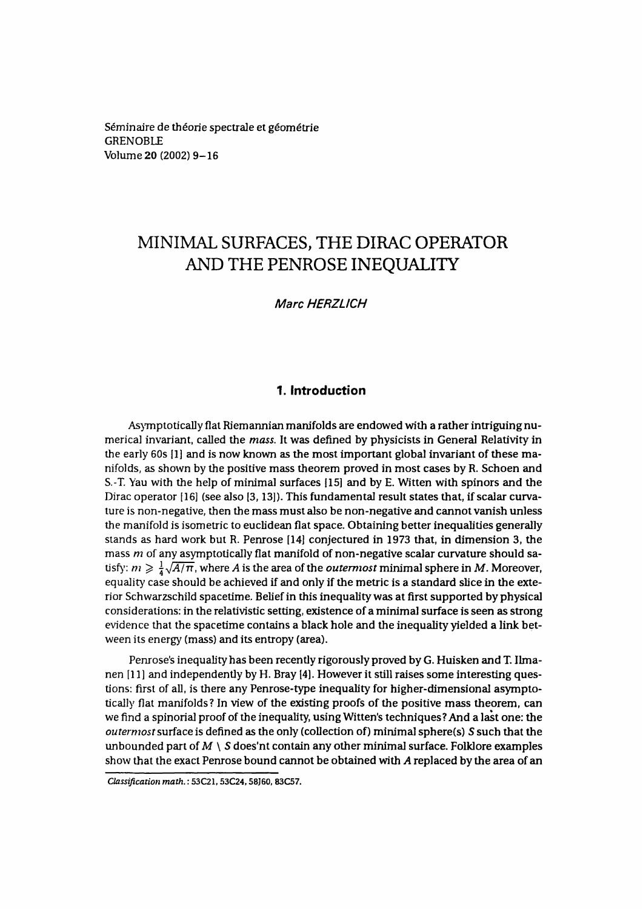Séminaire de théorie spectrale et géométrie GRENOBLE Volume 20 (2002) 9-16

## MINIMAL SURFACES, THE DIRAC OPERATOR AND THE PENROSEINEQUALITY

**Marc HERZLICH**

#### **1. Introduction**

AsymptoticaLIy flat Riemannian manifolds are endowed with a rather intriguing numerical invariant, called the *moss.* It was defined by physicists in General Relativity in the early 60s [1] and is now known as the most important global invariant of these manifolds, as shown by the positive mass theorem proved in most cases by R. Schoen and S.-T. Yau with the help of minimal surfaces [15] and by E. Witten with spinors and the Dirac operator [16] (see also (3,13]). This fundamental resuit states that, if scalar curvature is non-negative, then the mass must also be non-negative and cannot vanish unless the manifold is isometric to euclidean flat space. Obtaining better inequalities generally stands as hard work but R. Penrose [14] conjectured in 1973 that, in dimension 3, the mass *m* of any asymptotically flat manifold of non-negative scalar curvature should satisfy:  $m \geq \frac{1}{4}\sqrt{A/\pi}$ , where A is the area of the *outermost* minimal sphere in M. Moreover, equality case should be achieved if and only if the metric is a standard slice in the exterior Schwarzschild spacetime. Belief in this inequality was at first supported by physical considérations: in the relativistic setting, existence of a minimal surface is seen as strong evidence that the spacetime contains a black hole and the inequality yielded a link between its energy (mass) and its entropy (area).

Penrose's inequabty has been reeently rigorously proved by G. Huisken and T. Ilmanen [11] and independently by H. Bray 14]. However it still raises some interesting questions: first of all, is there any Penrose-type inequality for higher-dimensional asymptotically flat manifolds? In view of the existing proofs of the positive mass theorem, can we find a spinorial proof of the inequality, using Witten's techniques? And a last one: the *outermost*surface is defined as the only (collection of) minimal sphere(s) *S* such that the unbounded part of  $M \setminus S$  does'nt contain any other minimal surface. Folklore examples show that the exact Penrose bound cannot be obtained with *A* replaced by the area of an

*Classification math.* **: 53C21,53C24,58J60, 83C57.**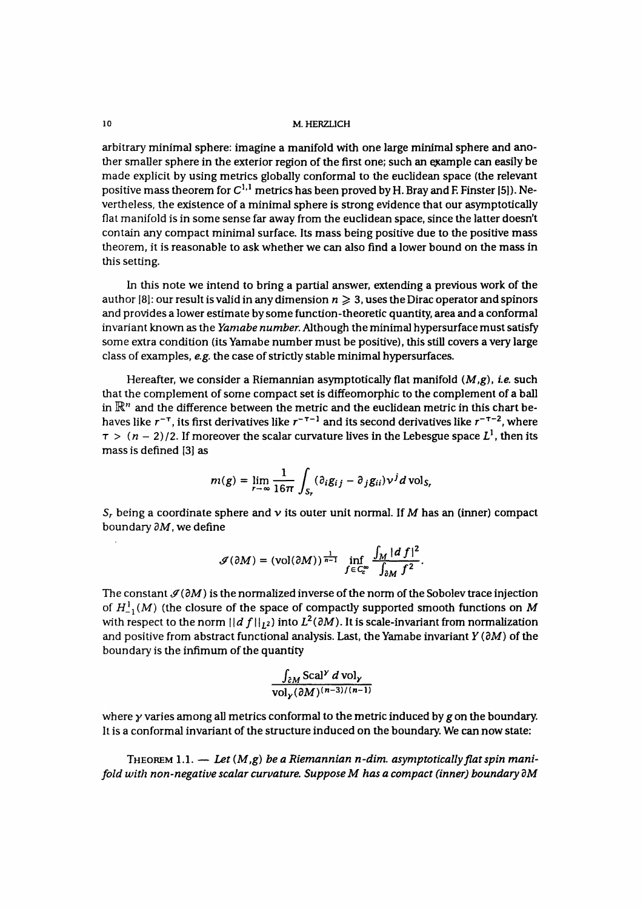#### **10 M.HERZL1CH**

arbitrary minimal sphere: imagine a manifold with one large minimal sphere and another smaller sphere in the exterior region of the first one; such an example can easily be made explicit by using metrics globally conformai to the euclidean space (the relevant positive mass theorem for  $C^{1,1}$  metrics has been proved by H. Bray and F. Finster [5]). Nevertheless, the existence of a minimal sphere is strong evidence that our asymptotically flat manifold is in some sense far away from the euclidean space, since the latter doesn't contain any compact minima] surface. lts mass being positive due to the positive mass theorem, it is reasonable to ask whether we can also find a lower bound on the mass in this setting.

In this note we intend to bring a partial answer, extending a previous work of the author [8]: our result is valid in any dimension  $n \geq 3$ , uses the Dirac operator and spinors and provides a lower estimate by some function-theoretic quantity, area and a conformai invariant known as the *Yamabe number.* Although the minimal hypersurface must satisfy some extra condition (its Yamabe number must be positive), this still covers a very large class of examples, *e.g.* the case of strictly stable minimal hypersurfaces.

Hereafter, we consider a Riemannian asymptotically flat manifold  $(M,g)$ , *i.e.* such that the complement of some compact set is diffeomorphic to the complement of a bail in  $\mathbb{R}^n$  and the difference between the metric and the euclidean metric in this chart behaves like  $r^{-\tau}$ , its first derivatives like  $r^{-\tau-1}$  and its second derivatives like  $r^{-\tau-2}$ , where  $\tau >$   $(n-2)/2.$  If moreover the scalar curvature lives in the Lebesgue space  $L^1$ , then its mass is defined [3] as

$$
m(g) = \lim_{r \to \infty} \frac{1}{16\pi} \int_{S_r} (\partial_i g_{ij} - \partial_j g_{ii}) v^j d \text{ vol}_{S_r}
$$

 $\mathcal{S}_r$  being a coordinate sphere and  $\mathcal{\nu}$  its outer unit normal. If  $M$  has an (inner) compact boundary *dM,* we define

$$
\mathcal{J}(\partial M) = (\text{vol}(\partial M))^{\frac{1}{n-1}} \inf_{f \in C_c^\infty} \frac{\int_M |d f|^2}{\int_{\partial M} f^2}.
$$

The constant  $\mathcal{I}(\partial M)$  is the normalized inverse of the norm of the Sobolev trace injection of  $H^1_{-1}(M)$  (the closure of the space of compactly supported smooth functions on M with respect to the norm  $\vert\vert d\ f\vert\vert_{L^2}$ ) into  $L^2(\partial M).$  It is scale-invariant from normalization and positive from abstract functional analysis. Last, the Yamabe invariant *Y {dM)* of the boundary is the infimum of the quantity

$$
\frac{\int_{\partial M} \text{Scal}^{\gamma} d \text{ vol}_{\gamma}}{\text{vol}_{\gamma}(\partial M)^{(n-3)/(n-1)}}
$$

where *y* varies among all metrics conformai to the metric induced by *g* on the boundary. It is a conformai invariant of the structure induced on the boundary. We can now state:

THEOREM  $1.1.$  - Let  $(M, g)$  be a Riemannian n-dim. asymptotically flat spin mani*fold with non-negative scalar curvature. Suppose M has a compact (inner) boundary dM*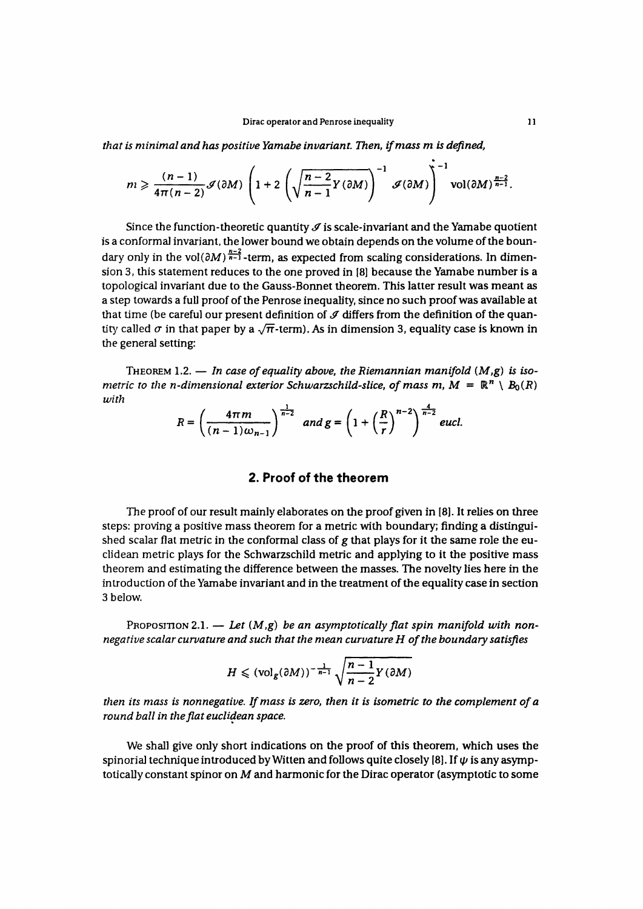*that is minimal and hos positive Yamabe invariant. Then, ifmass m is defined,*

$$
m \geqslant \frac{(n-1)}{4\pi(n-2)} \mathcal{J}(\partial M) \left(1+2\left(\sqrt{\frac{n-2}{n-1}Y(\partial M)}\right)^{-1} \mathcal{J}(\partial M)\right)^{-1} \mathrm{vol}(\partial M)^{\frac{n-2}{n-1}}.
$$

Since the function-theoretic quantity  $\mathcal I$  is scale-invariant and the Yamabe quotient is a conformal invariant, the lower bound we obtain depends on the volume of the boundary only in the vol $(\partial M)^{\frac{n-2}{n-1}}$ -term, as expected from scaling considerations. In dimension 3, this statement reduces to the one proved in (8) because the Yamabe number is a topological invariant due to the Gauss-Bonnet theorem. This latter result was meant as a step towards a full proof of the Penrose inequality, since no such proof was available at that time (be careful our present definition of  $J$  differs from the definition of the quantity called  $\sigma$  in that paper by a  $\sqrt{\pi}$ -term). As in dimension 3, equality case is known in the general setting:

THEOREM 1.2. — *In case of equality above, the Riemannian manifold {M,g) is isometric to the n-dimensional exterior Schwarzschild-slice, of mass m, M =*  $\mathbb{R}^n \setminus B_0(R)$ *with*

$$
R=\left(\frac{4\pi m}{(n-1)\omega_{n-1}}\right)^{\frac{1}{n-2}}\ \ and\ g=\left(1+\left(\frac{R}{r}\right)^{n-2}\right)^{\frac{4}{n-2}}eucl.
$$

#### **2. Proof of the theorem**

The proof of our result mainly elaborates on the proof given in [8]. It relies on three steps: proving a positive mass theorem for a metric with boundary; finding a distinguished scalar flat metric in the conformai class of *g* that plays for it the same role the euclidean metric plays for the Schwarzschild metric and applying to it the positive mass theorem and estimating the différence between the masses. The novelty lies here in the introduction of the Yamabe invariant and in the treatment of the equality case in section 3 below.

PROPOSITION 2.1. — Let  $(M, g)$  be an asymptotically flat spin manifold with non*négative scalar curvature and such that the mean curvature H of the boundary satisfies*

$$
H \leqslant (\text{vol}_{g}(\partial M))^{-\frac{1}{n-1}}\sqrt{\frac{n-1}{n-2}Y(\partial M)}
$$

*then its mass is nonnegative. Ifmass is zero, then it is isometric to the complement of a round bail in the flat euclidean space.*

We shall give only short indications on the proof of this theorem, which uses the spinorial technique introduced by Witten and follows quite closely [8]. If  $\psi$  is any asymptotically constant spinor on  $M$  and harmonic for the Dirac operator (asymptotic to some

 $\bullet$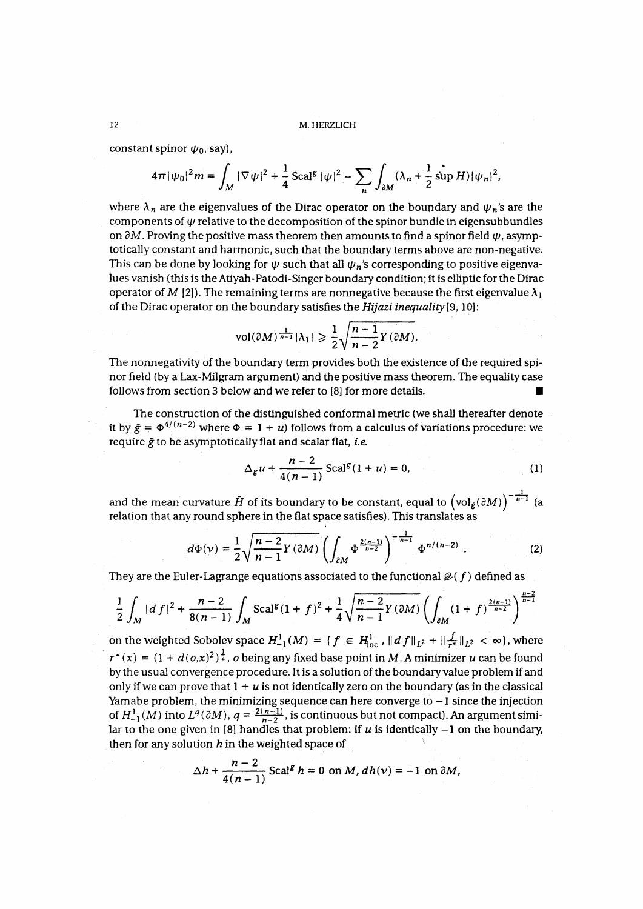constant spinor  $\psi_0$ , say),

$$
4\pi |\psi_0|^2 m = \int_M |\nabla \psi|^2 + \frac{1}{4} \operatorname{Scal}^g |\psi|^2 - \sum_n \int_{\partial M} (\lambda_n + \frac{1}{2} \sin H) |\psi_n|^2,
$$

where  $\lambda_n$  are the eigenvalues of the Dirac operator on the boundary and  $\psi_n$ 's are the components of  $\psi$  relative to the decomposition of the spinor bundle in eigensubbundles on  $\partial M$  . Proving the positive mass theorem then amounts to find a spinor field  $\pmb{\psi}$  , asymptotically constant and harmonie, such that the boundary terms above are non-negative. This can be done by looking for  $\psi$  such that all  $\psi_n$ 's corresponding to positive eigenvalues vanish (this is the Atiyah-Patodi-Singer boundary condition; it is elliptic for the Dirac operator of M [2]). The remaining terms are nonnegative because the first eigenvalue  $\lambda_1$ of the Dirac operator on the boundary satisfies the *Hijazi inequality[9,*10]:

$$
\text{vol}(\partial M)^{\frac{1}{n-1}}|\lambda_1| \geqslant \frac{1}{2}\sqrt{\frac{n-1}{n-2}Y(\partial M)}.
$$

The nonnegativity of the boundary term provides both the existence of the required spinor field (by a Lax-Milgram argument) and the positive mass theorem. The equality case follows from section 3 below and we refer to [8] for more details. •

The construction of the distinguished conformai metric (we shall thereafter dénote it by  $\bar{g} = \Phi^{4/(n-2)}$  where  $\Phi = 1 + u$ ) follows from a calculus of variations procedure: we require *g* to be asymptotically flat and scalar flat, *te.*

$$
\Delta_{g} u + \frac{n-2}{4(n-1)} \operatorname{Scal}^{g}(1+u) = 0, \tag{1}
$$

and the mean curvature  $\tilde{H}$  of its boundary to be constant, equal to  $\left(\mathrm{vol}_{\tilde{g}}(\partial M)\right)^{-n-1}$ relation that any round sphere in the flat space satisfies). This translates as

$$
d\Phi(\nu) = \frac{1}{2} \sqrt{\frac{n-2}{n-1} Y(\partial M)} \left( \int_{\partial M} \Phi^{\frac{2(n-1)}{n-2}} \right)^{-\frac{1}{n-1}} \Phi^{n/(n-2)} .
$$
 (2)

They are the Euler-Lagrange equations associated to the functional  $\mathcal{Q}(f)$  defined as

$$
\frac{1}{2}\int_{M} |df|^{2} + \frac{n-2}{8(n-1)}\int_{M} \text{Scal}^{g}(1+f)^{2} + \frac{1}{4}\sqrt{\frac{n-2}{n-1}\gamma(\partial M)}\left(\int_{\partial M} (1+f)^{\frac{2(n-1)}{n-2}}\right)^{\frac{n-2}{n-1}}
$$

on the weighted Sobolev space  $H_{-1}^1(M) = \{f \in H_{loc}^1, \|df\|_{L^2} + \|\frac{f}{r^*}\|_{L^2} < \infty\}$ , where  $r^*(x) = (1 + d(o,x)^2)^{\frac{1}{2}}$ , o being any fixed base point in M. A minimizer *u* can be found by the usual convergence procedure. It is a solution of the boundary value problem if and only if we can prove that  $1 + u$  is not identically zero on the boundary (as in the classical Yamabe problem, the minimizing sequence can here converge to  $-1$  since the injection of  $H^1_{-1}(M)$  into  $L^q(\partial M)$ ,  $q = \frac{2(n-1)}{n-2}$ , is continuous but not compact). An argument similar to the one given in [8] handles that problem: if  $u$  is identically  $-1$  on the boundary, then for any solution  $h$  in the weighted space of

$$
\Delta h + \frac{n-2}{4(n-1)} \operatorname{Scal}^g h = 0 \text{ on } M, dh(v) = -1 \text{ on } \partial M,
$$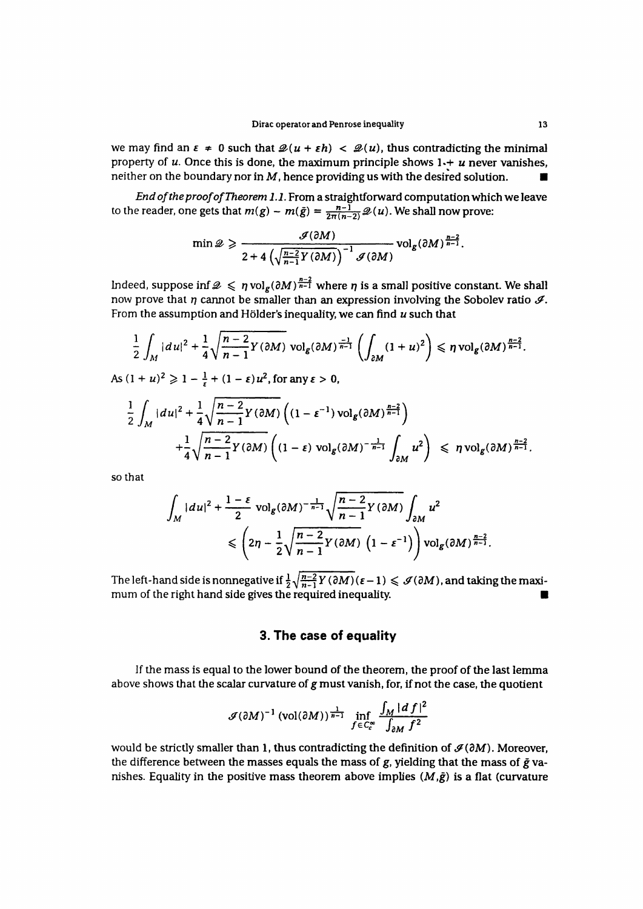we may find an  $\epsilon \neq 0$  such that  $\mathcal{Q}(u + \epsilon h) < \mathcal{Q}(u)$ , thus contradicting the minimal property of  $u$ . Once this is done, the maximum principle shows  $1 + u$  never vanishes, **neither on the boundary nor in M, hence providing us with the desired solution.** 

*End oftheproofofTheorem 1.1.* **From a straightforward computation which we leave** to the reader, one gets that  $m(g) - m(\bar{g}) = \frac{n-1}{2\pi(n-2)} \mathcal{Q}(u)$ . We shall now prove:

$$
\min \mathscr{Q} \geqslant \frac{\mathscr{I}(\partial M)}{2 + 4\left(\sqrt{\frac{n-2}{n-1}}Y(\partial M)\right)^{-1}\mathscr{I}(\partial M)} \text{vol}_{g}(\partial M)^{\frac{n-2}{n-1}}.
$$

Indeed, suppose inf  $\mathcal{D} \le \eta \text{vol}_g(\partial M)^{\frac{n-2}{n-1}}$  where  $\eta$  is a small positive constant. We shall now prove that *n* cannot be smaller than an expression involving the Sobolev ratio  $\mathcal{I}$ . **From the assumption and Hölder's inequality, we can find** *u* **such that**

$$
\frac{1}{2}\int_M |du|^2 + \frac{1}{4}\sqrt{\frac{n-2}{n-1}Y(\partial M)} \operatorname{vol}_g(\partial M)^{\frac{-1}{n-1}} \left(\int_{\partial M} (1+u)^2\right) \leq \eta \operatorname{vol}_g(\partial M)^{\frac{n-2}{n-1}}
$$

As  $(1 + u)^2 \ge 1 - \frac{1}{\epsilon} + (1 - \epsilon) u^2$ , for any  $\epsilon > 0$ ,

$$
\frac{1}{2}\int_{M} |du|^{2} + \frac{1}{4}\sqrt{\frac{n-2}{n-1}}Y(\partial M)\left((1-\varepsilon^{-1})\operatorname{vol}_{g}(\partial M)^{\frac{n-2}{n-1}}\right) + \frac{1}{4}\sqrt{\frac{n-2}{n-1}}Y(\partial M)\left((1-\varepsilon)\operatorname{vol}_{g}(\partial M)^{-\frac{1}{n-1}}\int_{\partial M}u^{2}\right) \leq \eta \operatorname{vol}_{g}(\partial M)^{\frac{n-2}{n-1}}.
$$

**so that**

$$
\int_{M} |du|^{2} + \frac{1-\varepsilon}{2} \operatorname{vol}_{g}(\partial M)^{-\frac{1}{n-1}} \sqrt{\frac{n-2}{n-1}} Y(\partial M) \int_{\partial M} u^{2} \leq \left(2\eta - \frac{1}{2} \sqrt{\frac{n-2}{n-1}} Y(\partial M) \left(1 - \varepsilon^{-1}\right)\right) \operatorname{vol}_{g}(\partial M)^{\frac{n-2}{n-1}}.
$$

The left-hand side is nonnegative if  $\frac{1}{2} \sqrt{\frac{n-2}{n-1}} Y(\partial M)(\epsilon - 1) \leq \mathcal{J}(\partial M)$ , and taking the maxi**mum of the right hand side gives the required inequality. •**

#### **3. The case of equality**

**lf the mass is equal to the lower bound of the theorem, the proof of the last lemma above shows that the scalar curvature of g must vanish, for, if not the case, the quotient**

$$
\mathcal{J}(\partial M)^{-1} \left(\text{vol}(\partial M)\right)^\frac{1}{n-1} \inf_{f \in C_c^\infty} \frac{\int_M |d f|^2}{\int_{\partial M} f^2}
$$

would be strictly smaller than 1, thus contradicting the definition of  $\mathcal{I}(\partial M)$ . Moreover, **the différence between the masses equals the mass of g, yielding that the mass of** *g* **va**nishes. Equality in the positive mass theorem above implies  $(M,\tilde{g})$  is a flat (curvature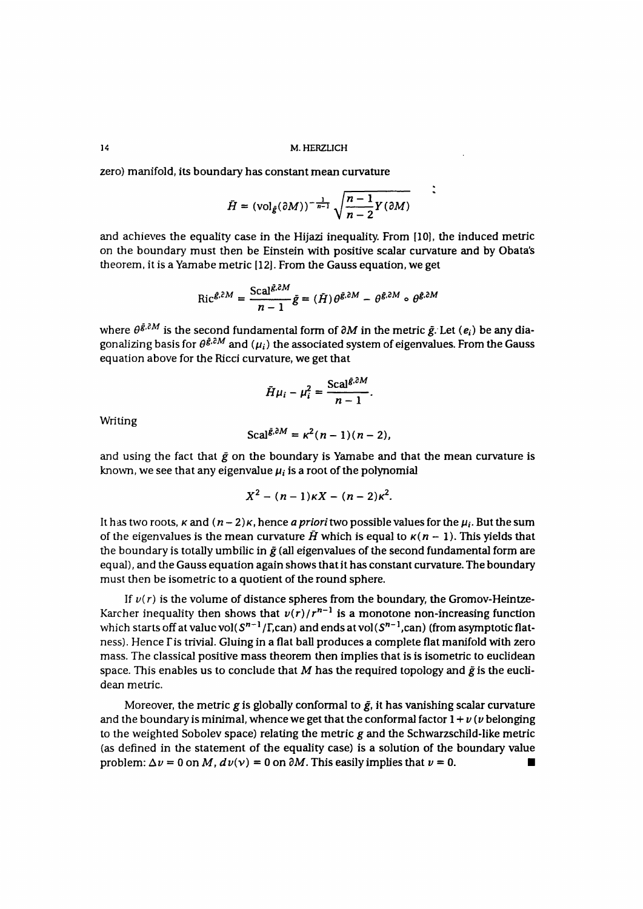**14 M.HERZLICH**

zero) manifold, its boundary has constant mean curvature

$$
\bar{H} = (\text{vol}_{\bar{g}}(\partial M))^{-\frac{1}{n-1}} \sqrt{\frac{n-1}{n-2}Y(\partial M)}
$$

and achieves the equality case in the Hijazi inequality. From [10], the induced metric on the boundary must then be Einstein with positive scalar curvature and by Obata's theorem, it is a Yamabe metric [12]. From the Gauss equation, we get

$$
\operatorname{Ric}^{\tilde{g},\tilde{c}M} = \frac{\operatorname{Scal}^{\tilde{g},\tilde{c}M}}{n-1} \tilde{g} = (\tilde{H}) \theta^{\tilde{g},\tilde{c}M} - \theta^{\tilde{g},\tilde{c}M} \circ \theta^{\tilde{g},\tilde{c}M}
$$

where  $\theta^{\tilde{g},\tilde{c}M}$  is the second fundamental form of  $\partial M$  in the metric  $\tilde{g}$ . Let  $(e_i)$  be any diagonalizing basis for  $\theta^{\xi, \delta M}$  and  $(\mu_i)$  the associated system of eigenvalues. From the Gauss équation above for the Ricci curvature, we get that

$$
\bar{H}\mu_i - \mu_i^2 = \frac{\text{Scal}^{\bar{g},\partial M}}{n-1}.
$$

**Writing** 

$$
Scal^{\bar{\mathcal{E}},\partial M}=\kappa^2(n-1)(n-2),
$$

and using the fact that  $\bar{g}$  on the boundary is Yamabe and that the mean curvature is known, we see that any eigenvalue  $\mu_i$  is a root of the polynomial

$$
X^2-(n-1)\kappa X-(n-2)\kappa^2.
$$

It has two roots,  $\kappa$  and  $(n-2)\kappa$ , hence *a priori* two possible values for the  $\mu_i$ . But the sum of the eigenvalues is the mean curvature  $\tilde{H}$  which is equal to  $\kappa(n-1)$ . This yields that the boundary is totally umbilic in  $\tilde{g}$  (all eigenvalues of the second fundamental form are equal), and the Gauss equation again shows that it has constant curvature. The boundary must then be isometric to a quotient of the round sphere.

If  $v(r)$  is the volume of distance spheres from the boundary, the Gromov-Heintze-Karcher inequality then shows that  $v(r)/r^{n-1}$  is a monotone non-increasing function which starts off at value vol(  $\mathcal{S}^{n-1}/\Gamma$ ,can) and ends at vol(  $\mathcal{S}^{n-1}$ ,can) (from asymptotic flatness). Hence Fis trivial. Gluing in a flat bail produces a complete flat manifold with zero mass. The classical positive mass theorem then implies that is is isometric to euclidean space. This enables us to conclude that M has the required topology and  $\tilde{g}$  is the euclidean metric.

Moreover, the metric g is globally conformal to  $\bar{g}$ , it has vanishing scalar curvature and the boundary is minimal, whence we get that the conformal factor  $1 + \nu$  ( $\nu$  belonging to the weighted Sobolev space) relating the metric  $g$  and the Schwarzschild-like metric (as defined in the statement of the equality case) is a solution of the boundary value problem:  $\Delta v = 0$  on M,  $dv(v) = 0$  on  $\partial M$ . This easily implies that  $v = 0$ .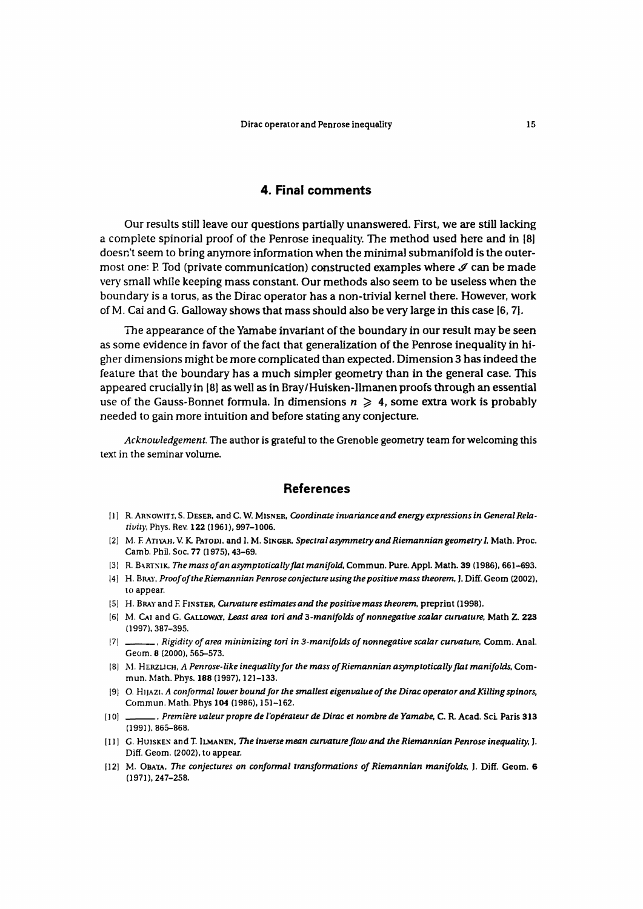#### **4. Final comments**

Our results still leave our questions partially unanswered. First, we are still lacking a complete spinorial proof of the Penrose inequality. The method used here and in 18] doesn't seem to bring anymore information when the minima] submanifold is the outermost one: P. Tod (private communication) constructed examples where *&* can be made very small while keeping mass constant. Our methods also seem to be useless when the boundary is a torus, as the Dirac operator has a non-trivial kernel there. However, work of M. Cai and G. Galloway shows that mass should also be very large in this case [6, 7J.

The appearance of the Yamabe invariant of the boundary in our result may be seen as some évidence in favor of the fact that generalization of the Penrose inequality in higher dimensions might be more complicated than expected. Dimension 3 has indeed the feature that the boundary has a much simpler geometry than in the general case. This appeared cruciallyin 18] as well as in Bray/Huisken-llmanenproofs through an essential use of the Gauss-Bonnet formula. In dimensions  $n \geq 4$ , some extra work is probably needed to gain more intuition and before stating any conjecture.

*Acknowledgement.* The author is grateful to the Grenoble geometry team for welcoming this text in the seminar volume.

#### **Références**

- **i ] ] R. ARNOWITT, S. DESER, and C. W. MISNER,** *Coordinate invariance and energy expressions in General Relativily,* Phys. Rev. **122** (1961), 997-1006.
- [2] M. F. ATIYAH, V. K. PATODI, and I. M. SINGER, Spectral asymmetry and Riemannian geometry I, Math. Proc. Camb. Phil. Soc. 77 (1975), 43-69.
- [3] R. BARTNIK, The mass of an asymptotically flat manifold, Commun. Pure. Appl. Math. 39 (1986), 661-693.
- 14] H. BRAY, *Proof of the Riemannian Penrose conjecture using the positive mass theorem*, J. Diff. Geom (2002), lo appear.
- **[5] H. BRAYand E FINSTER,** *Curvature estimâtes and the positive mass theorem,* **preprint (1998).**
- **[6] M. CAI and G. GALLOWAY,** *Least area tori and 3-manifolds of nonnegative scalar curvature,* **Math Z. 223** (1997), 387-395.
- **j 7 ] ,** *Rigidi ty of a rea m in im izing tori in 3-man ifo Idsofnon nega tive scalar cu rva ture,* **Comm. An al.** Geom. 8 (2000), 565-573.
- **18] M. HERZLICH,** *A Penrose-like inequality for the mass of Riemannian asymptotically flat manifolds,* **Com-**
- [9] O. HijAzi, A conformal lower bound for the smallest eigenvalue of the Dirac operator and Killing spinors, **19]** *O. H])AZ\, A conformai lower boundforthe smallest eigen valu e of the Dirac operato rand Killing sp inors,*
- 10] Première valeur propre de l'opérateur de Dirac et nombre de Yamabe, C. R. Acad. Sci. Paris 313. **[ ] 0] ,** *Première valeur propre de l'opérateur de Dirac et nombre de Yamabe,* **C. R. Acad. Sci. Paris 313**
- [11] G. HUISKEN and T. LLMANEN, The inverse mean curvature flow and the Riemannian Penrose inequality, J.  $Diff. Geom. (2002)$ , to appear.
- [12] M. OBATA, The conjectures on conformal transformations of Riemannian manifolds, J. Diff. Geom. 6 **[12] M. OBATA,** *The conjectures on conformai transformations of Riemannian manifolds,* **J. Diff. Geom. 6**